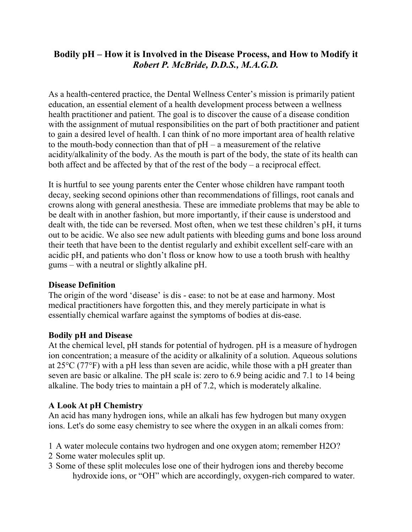# **Bodily pH – How it is Involved in the Disease Process, and How to Modify it** *Robert P. McBride, D.D.S., M.A.G.D.*

As a health-centered practice, the Dental Wellness Center's mission is primarily patient education, an essential element of a health development process between a wellness health practitioner and patient. The goal is to discover the cause of a disease condition with the assignment of mutual responsibilities on the part of both practitioner and patient to gain a desired level of health. I can think of no more important area of health relative to the mouth-body connection than that of  $pH - a$  measurement of the relative acidity/alkalinity of the body. As the mouth is part of the body, the state of its health can both affect and be affected by that of the rest of the body – a reciprocal effect.

It is hurtful to see young parents enter the Center whose children have rampant tooth decay, seeking second opinions other than recommendations of fillings, root canals and crowns along with general anesthesia. These are immediate problems that may be able to be dealt with in another fashion, but more importantly, if their cause is understood and dealt with, the tide can be reversed. Most often, when we test these children's pH, it turns out to be acidic. We also see new adult patients with bleeding gums and bone loss around their teeth that have been to the dentist regularly and exhibit excellent self-care with an acidic pH, and patients who don't floss or know how to use a tooth brush with healthy gums – with a neutral or slightly alkaline pH.

#### **Disease Definition**

The origin of the word 'disease' is dis - ease: to not be at ease and harmony. Most medical practitioners have forgotten this, and they merely participate in what is essentially chemical warfare against the symptoms of bodies at dis-ease.

## **Bodily pH and Disease**

At the chemical level, pH stands for potential of hydrogen. pH is a measure of hydrogen ion concentration; a measure of the acidity or alkalinity of a solution. Aqueous solutions at 25°C (77°F) with a pH less than seven are acidic, while those with a pH greater than seven are basic or alkaline. The pH scale is: zero to 6.9 being acidic and 7.1 to 14 being alkaline. The body tries to maintain a pH of 7.2, which is moderately alkaline.

## **A Look At pH Chemistry**

An acid has many hydrogen ions, while an alkali has few hydrogen but many oxygen ions. Let's do some easy chemistry to see where the oxygen in an alkali comes from:

- 1 A water molecule contains two hydrogen and one oxygen atom; remember H2O?
- 2 Some water molecules split up.
- 3 Some of these split molecules lose one of their hydrogen ions and thereby become hydroxide ions, or "OH" which are accordingly, oxygen-rich compared to water.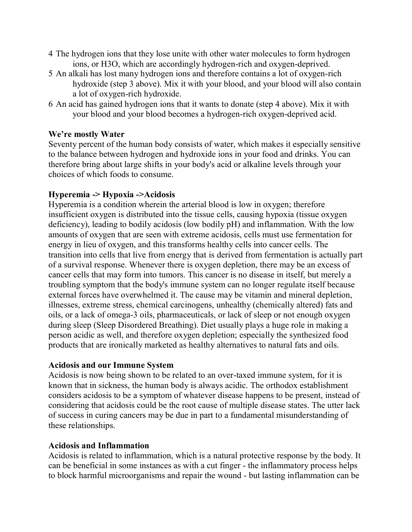- 4 The hydrogen ions that they lose unite with other water molecules to form hydrogen ions, or H3O, which are accordingly hydrogen-rich and oxygen-deprived.
- 5 An alkali has lost many hydrogen ions and therefore contains a lot of oxygen-rich hydroxide (step 3 above). Mix it with your blood, and your blood will also contain a lot of oxygen-rich hydroxide.
- 6 An acid has gained hydrogen ions that it wants to donate (step 4 above). Mix it with your blood and your blood becomes a hydrogen-rich oxygen-deprived acid.

## **We're mostly Water**

Seventy percent of the human body consists of water, which makes it especially sensitive to the balance between hydrogen and hydroxide ions in your food and drinks. You can therefore bring about large shifts in your body's acid or alkaline levels through your choices of which foods to consume.

### **Hyperemia -> Hypoxia ->Acidosis**

Hyperemia is a condition wherein the arterial blood is low in oxygen; therefore insufficient oxygen is distributed into the tissue cells, causing hypoxia (tissue oxygen deficiency), leading to bodily acidosis (low bodily pH) and inflammation. With the low amounts of oxygen that are seen with extreme acidosis, cells must use fermentation for energy in lieu of oxygen, and this transforms healthy cells into cancer cells. The transition into cells that live from energy that is derived from fermentation is actually part of a survival response. Whenever there is oxygen depletion, there may be an excess of cancer cells that may form into tumors. This cancer is no disease in itself, but merely a troubling symptom that the body's immune system can no longer regulate itself because external forces have overwhelmed it. The cause may be vitamin and mineral depletion, illnesses, extreme stress, chemical carcinogens, unhealthy (chemically altered) fats and oils, or a lack of omega-3 oils, pharmaceuticals, or lack of sleep or not enough oxygen during sleep (Sleep Disordered Breathing). Diet usually plays a huge role in making a person acidic as well, and therefore oxygen depletion; especially the synthesized food products that are ironically marketed as healthy alternatives to natural fats and oils.

#### **Acidosis and our Immune System**

Acidosis is now being shown to be related to an over-taxed immune system, for it is known that in sickness, the human body is always acidic. The orthodox establishment considers acidosis to be a symptom of whatever disease happens to be present, instead of considering that acidosis could be the root cause of multiple disease states. The utter lack of success in curing cancers may be due in part to a fundamental misunderstanding of these relationships.

#### **Acidosis and Inflammation**

Acidosis is related to inflammation, which is a natural protective response by the body. It can be beneficial in some instances as with a cut finger - the inflammatory process helps to block harmful microorganisms and repair the wound - but lasting inflammation can be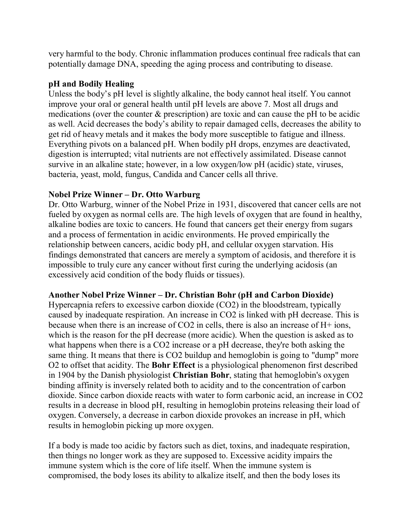very harmful to the body. Chronic inflammation produces continual free radicals that can potentially damage DNA, speeding the aging process and contributing to disease.

### **pH and Bodily Healing**

Unless the body's pH level is slightly alkaline, the body cannot heal itself. You cannot improve your oral or general health until pH levels are above 7. Most all drugs and medications (over the counter & prescription) are toxic and can cause the pH to be acidic as well. Acid decreases the body's ability to repair damaged cells, decreases the ability to get rid of heavy metals and it makes the body more susceptible to fatigue and illness. Everything pivots on a balanced pH. When bodily pH drops, enzymes are deactivated, digestion is interrupted; vital nutrients are not effectively assimilated. Disease cannot survive in an alkaline state; however, in a low oxygen/low pH (acidic) state, viruses, bacteria, yeast, mold, fungus, Candida and Cancer cells all thrive.

### **Nobel Prize Winner – Dr. Otto Warburg**

Dr. Otto Warburg, winner of the Nobel Prize in 1931, discovered that cancer cells are not fueled by oxygen as normal cells are. The high levels of oxygen that are found in healthy, alkaline bodies are toxic to cancers. He found that cancers get their energy from sugars and a process of fermentation in acidic environments. He proved empirically the relationship between cancers, acidic body pH, and cellular oxygen starvation. His findings demonstrated that cancers are merely a symptom of acidosis, and therefore it is impossible to truly cure any cancer without first curing the underlying acidosis (an excessively acid condition of the body fluids or tissues).

## **Another Nobel Prize Winner – Dr. Christian Bohr (pH and Carbon Dioxide)**

Hypercapnia refers to excessive carbon dioxide (CO2) in the bloodstream, typically caused by inadequate respiration. An increase in CO2 is linked with pH decrease. This is because when there is an increase of CO2 in cells, there is also an increase of H+ ions, which is the reason for the pH decrease (more acidic). When the question is asked as to what happens when there is a CO2 increase or a pH decrease, they're both asking the same thing. It means that there is CO2 buildup and hemoglobin is going to "dump" more O2 to offset that acidity. The **Bohr Effect** is a physiological phenomenon first described in 1904 by the Danish physiologist **Christian Bohr**, stating that hemoglobin's oxygen binding affinity is inversely related both to acidity and to the concentration of carbon dioxide. Since carbon dioxide reacts with water to form carbonic acid, an increase in CO2 results in a decrease in blood pH, resulting in hemoglobin proteins releasing their load of oxygen. Conversely, a decrease in carbon dioxide provokes an increase in pH, which results in hemoglobin picking up more oxygen.

If a body is made too acidic by factors such as diet, toxins, and inadequate respiration, then things no longer work as they are supposed to. Excessive acidity impairs the immune system which is the core of life itself. When the immune system is compromised, the body loses its ability to alkalize itself, and then the body loses its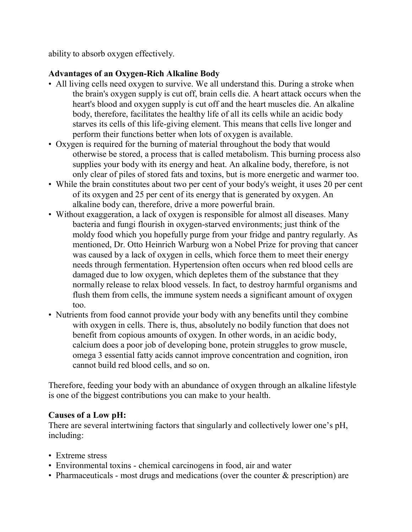ability to absorb oxygen effectively.

## **Advantages of an Oxygen-Rich Alkaline Body**

- All living cells need oxygen to survive. We all understand this. During a stroke when the brain's oxygen supply is cut off, brain cells die. A heart attack occurs when the heart's blood and oxygen supply is cut off and the heart muscles die. An alkaline body, therefore, facilitates the healthy life of all its cells while an acidic body starves its cells of this life-giving element. This means that cells live longer and perform their functions better when lots of oxygen is available.
- Oxygen is required for the burning of material throughout the body that would otherwise be stored, a process that is called metabolism. This burning process also supplies your body with its energy and heat. An alkaline body, therefore, is not only clear of piles of stored fats and toxins, but is more energetic and warmer too.
- While the brain constitutes about two per cent of your body's weight, it uses 20 per cent of its oxygen and 25 per cent of its energy that is generated by oxygen. An alkaline body can, therefore, drive a more powerful brain.
- Without exaggeration, a lack of oxygen is responsible for almost all diseases. Many bacteria and fungi flourish in oxygen-starved environments; just think of the moldy food which you hopefully purge from your fridge and pantry regularly. As mentioned, Dr. Otto Heinrich Warburg won a Nobel Prize for proving that cancer was caused by a lack of oxygen in cells, which force them to meet their energy needs through fermentation. Hypertension often occurs when red blood cells are damaged due to low oxygen, which depletes them of the substance that they normally release to relax blood vessels. In fact, to destroy harmful organisms and flush them from cells, the immune system needs a significant amount of oxygen too.
- Nutrients from food cannot provide your body with any benefits until they combine with oxygen in cells. There is, thus, absolutely no bodily function that does not benefit from copious amounts of oxygen. In other words, in an acidic body, calcium does a poor job of developing bone, protein struggles to grow muscle, omega 3 essential fatty acids cannot improve concentration and cognition, iron cannot build red blood cells, and so on.

Therefore, feeding your body with an abundance of oxygen through an alkaline lifestyle is one of the biggest contributions you can make to your health.

## **Causes of a Low pH:**

There are several intertwining factors that singularly and collectively lower one's pH, including:

- Extreme stress
- Environmental toxins chemical carcinogens in food, air and water
- Pharmaceuticals most drugs and medications (over the counter  $\&$  prescription) are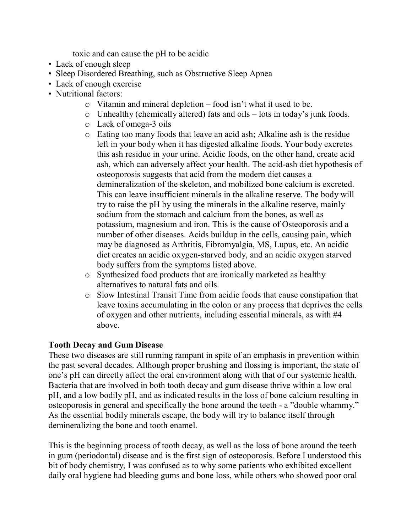toxic and can cause the pH to be acidic

- Lack of enough sleep
- Sleep Disordered Breathing, such as Obstructive Sleep Apnea
- Lack of enough exercise
- Nutritional factors:
	- o Vitamin and mineral depletion food isn't what it used to be.
	- o Unhealthy (chemically altered) fats and oils lots in today's junk foods.
	- o Lack of omega-3 oils
	- o Eating too many foods that leave an acid ash; Alkaline ash is the residue left in your body when it has digested alkaline foods. Your body excretes this ash residue in your urine. Acidic foods, on the other hand, create acid ash, which can adversely affect your health. The acid-ash diet hypothesis of osteoporosis suggests that acid from the modern diet causes a demineralization of the skeleton, and mobilized bone calcium is excreted. This can leave insufficient minerals in the alkaline reserve. The body will try to raise the pH by using the minerals in the alkaline reserve, mainly sodium from the stomach and calcium from the bones, as well as potassium, magnesium and iron. This is the cause of Osteoporosis and a number of other diseases. Acids buildup in the cells, causing pain, which may be diagnosed as Arthritis, Fibromyalgia, MS, Lupus, etc. An acidic diet creates an acidic oxygen-starved body, and an acidic oxygen starved body suffers from the symptoms listed above.
	- o Synthesized food products that are ironically marketed as healthy alternatives to natural fats and oils.
	- o Slow Intestinal Transit Time from acidic foods that cause constipation that leave toxins accumulating in the colon or any process that deprives the cells of oxygen and other nutrients, including essential minerals, as with #4 above.

#### **Tooth Decay and Gum Disease**

These two diseases are still running rampant in spite of an emphasis in prevention within the past several decades. Although proper brushing and flossing is important, the state of one's pH can directly affect the oral environment along with that of our systemic health. Bacteria that are involved in both tooth decay and gum disease thrive within a low oral pH, and a low bodily pH, and as indicated results in the loss of bone calcium resulting in osteoporosis in general and specifically the bone around the teeth - a "double whammy." As the essential bodily minerals escape, the body will try to balance itself through demineralizing the bone and tooth enamel.

This is the beginning process of tooth decay, as well as the loss of bone around the teeth in gum (periodontal) disease and is the first sign of osteoporosis. Before I understood this bit of body chemistry, I was confused as to why some patients who exhibited excellent daily oral hygiene had bleeding gums and bone loss, while others who showed poor oral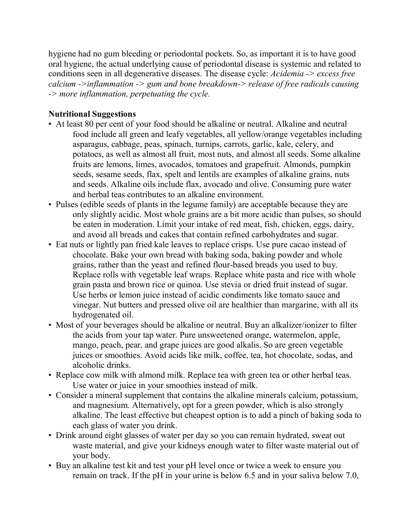hygiene had no gum bleeding or periodontal pockets. So, as important it is to have good oral hygiene, the actual underlying cause of periodontal disease is systemic and related to conditions seen in all degenerative diseases. The disease cycle: *Acidemia -> excess free calcium ->inflammation -> gum and bone breakdown-> release of free radicals causing -> more inflammation, perpetuating the cycle.*

## **Nutritional Suggestions**

- At least 80 per cent of your food should be alkaline or neutral. Alkaline and neutral food include all green and leafy vegetables, all yellow/orange vegetables including asparagus, cabbage, peas, spinach, turnips, carrots, garlic, kale, celery, and potatoes, as well as almost all fruit, most nuts, and almost all seeds. Some alkaline fruits are lemons, limes, avocados, tomatoes and grapefruit. Almonds, pumpkin seeds, sesame seeds, flax, spelt and lentils are examples of alkaline grains, nuts and seeds. Alkaline oils include flax, avocado and olive. Consuming pure water and herbal teas contributes to an alkaline environment.
- Pulses (edible seeds of plants in the legume family) are acceptable because they are only slightly acidic. Most whole grains are a bit more acidic than pulses, so should be eaten in moderation. Limit your intake of red meat, fish, chicken, eggs, dairy, and avoid all breads and cakes that contain refined carbohydrates and sugar.
- Eat nuts or lightly pan fried kale leaves to replace crisps. Use pure cacao instead of chocolate. Bake your own bread with baking soda, baking powder and whole grains, rather than the yeast and refined flour-based breads you used to buy. Replace rolls with vegetable leaf wraps. Replace white pasta and rice with whole grain pasta and brown rice or quinoa. Use stevia or dried fruit instead of sugar. Use herbs or lemon juice instead of acidic condiments like tomato sauce and vinegar. Nut butters and pressed olive oil are healthier than margarine, with all its hydrogenated oil.
- Most of your beverages should be alkaline or neutral. Buy an alkalizer/ionizer to filter the acids from your tap water. Pure unsweetened orange, watermelon, apple, mango, peach, pear, and grape juices are good alkalis. So are green vegetable juices or smoothies. Avoid acids like milk, coffee, tea, hot chocolate, sodas, and alcoholic drinks.
- Replace cow milk with almond milk. Replace tea with green tea or other herbal teas. Use water or juice in your smoothies instead of milk.
- Consider a mineral supplement that contains the alkaline minerals calcium, potassium, and magnesium. Alternatively, opt for a green powder, which is also strongly alkaline. The least effective but cheapest option is to add a pinch of baking soda to each glass of water you drink.
- Drink around eight glasses of water per day so you can remain hydrated, sweat out waste material, and give your kidneys enough water to filter waste material out of your body.
- Buy an alkaline test kit and test your pH level once or twice a week to ensure you remain on track. If the pH in your urine is below 6.5 and in your saliva below 7.0,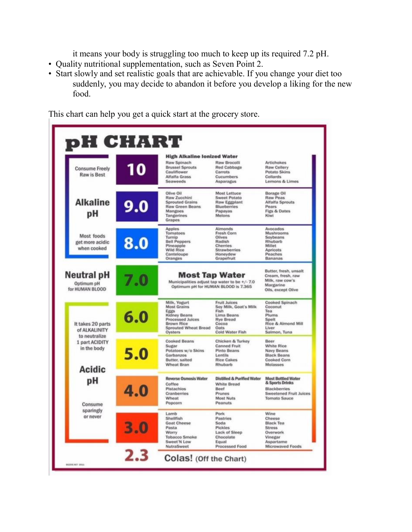it means your body is struggling too much to keep up its required 7.2 pH.

- Quality nutritional supplementation, such as Seven Point 2.
- Start slowly and set realistic goals that are achievable. If you change your diet too suddenly, you may decide to abandon it before you develop a liking for the new food.

HART D. **High Alkaline lonized Water** Raw Spinach **Raw Brocolli Artichokes** 0 **Brussel Sprouts Red Cabbage Raw Cellery Consume Freely** Cauliflower **Potato Skins** Carrots **Raw is Best Alfalfa Grass** Cucumbers Collards Lemons & Limes Seaweeds Asparagus Olive Oil Most Lettuce **Borage Oil** Raw Zucchini **Sweet Potato Raw Peas Alkaline Sprouted Grains Raw Eggplant** Alfalfa Sprouts 9.0 **Raw Green Beans Rlueberries Pears** Mangoes Papayas Figs & Dates рH Tangerines Melons Kiwi Grapes Apples Almonds Avocados Tomatoes Fresh Corn Mushrooms Most foods Turnip<br>Bell Peppers Olives<br>Radish Soybeans<br>Rhubarb 8.0 get more acidic Pineapple<br>Wild Rice Cherries Millet when cooked Strawberries Apricots Honeydew<br>Grapefruit Canteloupe Peaches Oranges Bananas Butter, fresh, unsalt **Neutral pH Most Tap Water** Cream, fresh, raw Milk, raw cow's Municipalities adjust tap water to be +/- 7.0 Optimum pH Margarine Optimum pH for HUMAN BLOOD is 7.365 for HUMAN BLOOD Oils, except Olive Milk, Yogurt<br>Most Grains Fruit Juices<br>Soy Milk, Goat's Milk Cooked Spinach<br>Coconut Eggs<br>Kidney Beans<br>Processed Juices<br>Brown Rice Fish Tea  $6.0$ Lima Beans Plums **Rye Bread** Spelt Rice & Almond Mill It takes 20 parts Cocoa **Sprouted Wheat Bread**<br>Oysters Oats<br>Cold Water Fish Liver<br>Salmon, Tuna of ALKALINITY to neutralize **Cooked Beans** Chicken & Turkey 1 part ACIDITY Beer White Rice Sugar **Canned Fruit** in the body Potatoes w/o Skins **Pinto Beans** Navy Beans  $5.0$ Garbanzos **Black Beans** Lentils Butter, salted **Rice Cakes Cooked Corn Wheat Bran** Rhubarb Molasses **Acidic Distilled & Purified Water Most Bottled Water Reverse Osmosis Water** pН & Sports Drinks Coffee **White Bread** 4.0 **Blackberries** Pistachios Beef Cranberries Prunes **Sweetened Fruit Juices** Wheat Most Nuts Tomato Sauce Popcorn Peanuts Consume sparingly Wine Pork Lamb or never Shellfish Pastries Cheese  $3.0$ **Goat Cheese** Soda **Black Tea** Pasta Pickles **Stress** Worry Lack of Sleep Overwork **Tobacco Smoke** Chocolate Vinegar Sweet'N Low Equal Aspartame Processed Food NutraSweet Microwaved Foods  $2.3$ Colas! (Off the Chart)

This chart can help you get a quick start at the grocery store.